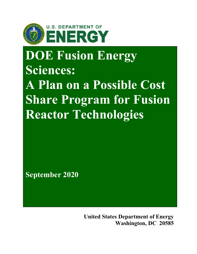

# **DOE Fusion Energy Sciences:**

**A Plan on a Possible Cost Share Program for Fusion Reactor Technologies**

**September 2020**

**United States Department of Energy Washington, DC 20585**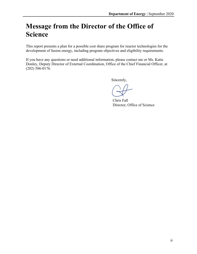# **Message from the Director of the Office of Science**

This report presents a plan for a possible cost share program for reactor technologies for the development of fusion energy, including program objectives and eligibility requirements.

If you have any questions or need additional information, please contact me or Ms. Katie Donley, Deputy Director of External Coordination, Office of the Chief Financial Officer, at (202) 586-0176.

Sincerely,

Chris Fall Director, Office of Science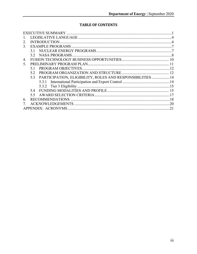#### **TABLE OF CONTENTS**

| 2.                                                              |  |
|-----------------------------------------------------------------|--|
| 3.                                                              |  |
| 31                                                              |  |
|                                                                 |  |
| 4.                                                              |  |
| 5.                                                              |  |
|                                                                 |  |
| 5.2                                                             |  |
| PARTICIPATION, ELIGIBILITY, ROLES AND RESPONSIBILITIES14<br>5.3 |  |
|                                                                 |  |
|                                                                 |  |
| 54                                                              |  |
| 5.5                                                             |  |
| 6.                                                              |  |
|                                                                 |  |
|                                                                 |  |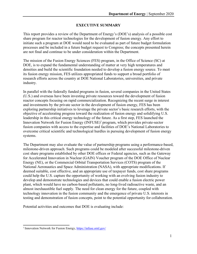#### **EXECUTIVE SUMMARY**

<span id="page-3-0"></span>This report provides a review of the Department of Energy's (DOE's) analysis of a possible cost share program for reactor technologies for the development of fusion energy. Any effort to initiate such a program at DOE would need to be evaluated as part of future budget formulation processes and be included in a future budget request to Congress; the concepts presented herein are not final and continue to be under consideration within the Department.

The mission of the Fusion Energy Sciences (FES) program, in the Office of Science (SC) at DOE, is to expand the fundamental understanding of matter at very high temperatures and densities and build the scientific foundation needed to develop a fusion energy source. To meet its fusion energy mission, FES utilizes appropriated funds to support a broad portfolio of research efforts across the country at DOE National Laboratories, universities, and private industry.

In parallel with the federally funded programs in fusion, several companies in the United States (U.S.) and overseas have been investing private resources toward the development of fusion reactor concepts focusing on rapid commercialization. Recognizing the recent surge in interest and investments by the private sector in the development of fusion energy, FES has been exploring partnership initiatives to leverage the private sector's basic research efforts, with the objective of accelerating progress toward the realization of fusion energy and solidifying U.S. leadership in this critical energy technology of the future. As a first step, FES launched the Innovation Network for Fusion Energy  $(INFUSE)^1$  program, which provides private-sector fusion companies with access to the expertise and facilities of DOE's National Laboratories to overcome critical scientific and technological hurdles in pursuing development of fusion energy systems.

The Department may also evaluate the value of partnership programs using a performance-based, milestone-driven approach. Such programs could be modeled after successful milestone-driven cost share programs established by other DOE offices or Federal agencies, such as the Gateway for Accelerated Innovation in Nuclear (GAIN) Voucher program of the DOE Office of Nuclear Energy (NE), or the Commercial Orbital Transportation Services (COTS) program of the National Aeronautics and Space Administration (NASA), with appropriate modifications. If deemed suitable, cost effective, and an appropriate use of taxpayer funds, cost share programs could help the U.S. capture the opportunity of working with an evolving fusion industry to develop and demonstrate technologies and devices that could enable a fusion electric power plant, which would have no carbon-based pollutants, no long-lived radioactive waste, and an almost inexhaustible fuel supply. The need for clean energy for the future, coupled with technology innovation in the fusion community and the emergence of private U.S. interests in testing and demonstration of fusion concepts, point to the potential opportunity for collaboration.

Potential activities and outcomes that DOE is evaluating include:

<sup>1</sup> Innovation Network for Fusion Energy, https://infuse.ornl.gov/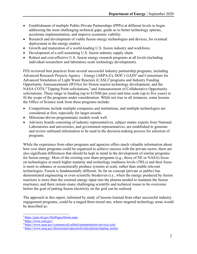- Establishment of multiple Public-Private Partnerships (PPPs) at different levels to begin addressing the most challenging technical gaps, guide us to better technology options, accelerate implementation, and improve economic viability.
- Research and development of viable fusion energy technologies and devices, for eventual deployment in the energy market.
- Growth and maturation of a world-leading U.S. fusion industry and workforce.
- Development of a self-sustaining U.S. fusion industry supply chain.
- Robust and cost-effective U.S. fusion energy research programs at all levels(including individual researchers and laboratory-scale technology development).

FES reviewed best practices from several successful industry partnership programs, including Advanced Research Projects Agency – Energy (ARPA-E), DOE's GAIN2 and Consortium for Advanced Simulation of Light Water Reactors (CASL)<sup>3</sup> programs and Industry Funding Opportunity Announcements (IFOAs) for fission reactor technology development, and the NASA COTS,<sup>4</sup> Tipping Point solicitations,<sup>5</sup> and Announcement of Collaborative Opportunity solicitations. These range in funding (up to \$150M per year) and time scale (up to five years) to fit the scope of the programs under consideration. While not true in all instances, some lessons the Office of Science took from these programs include:

- Competitions include multiple companies and institutions, and multiple technologies are considered at first, especially for larger awards.
- Milestone-driven programmatic models work well.
- Advisory boards consisting of industry representatives, subject matter experts from National Laboratories and universities, and government representatives, are established to generate and review unbiased information to be used in the decision-making process for selection of programs.

While the experience from other programs and agencies offers much valuable information about how cost share programs could be organized to achieve success with the private sector, there are also significant differences that should be kept in mind in the development of similar programs for fusion energy. Most of the existing cost share programs (e.g., those of NE or NASA) focus on technologies at much higher maturity and technology readiness levels (TRLs) and their focus is more to enhance or economically produce systems at scale, rather than enable relevant technologies. Fusion is fundamentally different. So far no concept (private or public) has demonstrated engineering or even scientific breakeven (i.e., when the energy produced by fusion reactions is more than the external energy input into the plasma needed to maintain the fusion reactions), and there remain many challenging scientific and technical issues to be overcome before the goal of putting fusion electricity on the grid can be realized.

The approach in this report, informed by study of lessons learned from other successful industry engagement programs, could be a staged three-tiered one, where targeted technology areas would be described as:

<sup>2</sup> https://gain.inl.gov/SitePages/Home.aspx

<sup>3</sup> htt[ps://www.casl.gov](http://www.casl.gov/)/

<sup>4</sup> htt[ps://www.nasa.gov/](http://www.nasa.gov/commercial-orbital-transportation-services-cots/)c[ommercial-orbital-transportation-services-cots/](http://www.nasa.gov/commercial-orbital-transportation-services-cots/)

<sup>&</sup>lt;sup>5</sup> https://www.nasa.gov/direc[torates/spacetech/solicitations/tip](http://www.nasa.gov/directorates/spacetech/solicitations/tipping_points)p[ing\\_points](http://www.nasa.gov/directorates/spacetech/solicitations/tipping_points)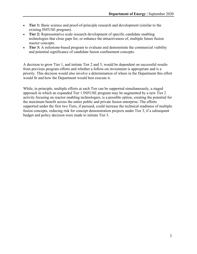- **Tier 1:** Basic science and proof-of-principle research and development (similar to the existing INFUSE program).
- **Tier 2:** Representative scale research development of specific candidate enabling technologies that close gaps for, or enhance the attractiveness of, multiple future fusion reactor concepts.
- **Tier 3:** A milestone-based program to evaluate and demonstrate the commercial viability and potential significance of candidate fusion confinement concepts.

A decision to grow Tier 1, and initiate Tier 2 and 3, would be dependent on successful results from previous program efforts and whether a follow-on investment is appropriate and is a priority. This decision would also involve a determination of where in the Department this effort would fit and how the Department would best execute it.

While, in principle, multiple efforts at each Tier can be supported simultaneously, a staged approach in which an expanded Tier 1 INFUSE program may be augmented by a new Tier 2 activity focusing on reactor enabling technologies, is a possible option, creating the potential for the maximum benefit across the entire public and private fusion enterprise. The efforts supported under the first two Tiers, if pursued, could increase the technical readiness of multiple fusion concepts, reducing risk for concept demonstration projects under Tier 3, if a subsequent budget and policy decision were made to initiate Tier 3.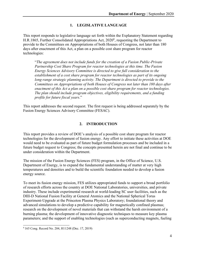#### **1. LEGISLATIVE LANGUAGE**

<span id="page-6-0"></span>This report responds to legislative language set forth within the Explanatory Statement regarding H.R.1865, Further Consolidated Appropriations Act, 2020<sup>6</sup>, requesting the Department to provide to the Committees on Appropriations of both Houses of Congress, not later than 180 days after enactment of this Act, a plan on a possible cost share program for reactor technologies:

"*The agreement does not include funds for the creation of a Fusion Public-Private Partnership Cost Share Program for reactor technologies at this time. The Fusion Energy Sciences Advisory Committee is directed to give full consideration to the establishment of a cost share program for reactor technologies as part of its ongoing long-range strategic planning activity. The Department is directed to provide to the Committees on Appropriations of both Houses of Congress not later than 180 days after enactment of this Act a plan on a possible cost share program for reactor technologies. The plan should include program objectives, eligibility requirements, and a funding profile for future fiscal years*."

This report addresses the second request. The first request is being addressed separately by the Fusion Energy Sciences Advisory Committee (FESAC).

#### **2. INTRODUCTION**

<span id="page-6-1"></span>This report provides a review of DOE's analysis of a possible cost share program for reactor technologies for the development of fusion energy. Any effort to initiate these activities at DOE would need to be evaluated as part of future budget formulation processes and be included in a future budget request to Congress; the concepts presented herein are not final and continue to be under consideration within the Department.

The mission of the Fusion Energy Sciences (FES) program, in the Office of Science, U.S. Department of Energy, is to expand the fundamental understanding of matter at very high temperatures and densities and to build the scientific foundation needed to develop a fusion energy source.

To meet its fusion energy mission, FES utilizes appropriated funds to support a broad portfolio of research efforts across the country at DOE National Laboratories, universities, and private industry. These include experimental research at world-leading SC user facilities, such as the DIII-D National Fusion Facility at General Atomics and the National Spherical Torus Experiment-Upgrade at the Princeton Plasma Physics Laboratory; foundational theory and advanced simulations to develop a predictive capability for magnetically confined plasmas; research on the development of novel materials that can withstand the harsh environment of a burning plasma; the development of innovative diagnostic techniques to measure key plasma parameters; and the support of enabling technologies (such as superconducting magnets, fueling

<sup>6 165</sup> Cong. Record No. 204, H11248 (Dec. 17, 2019)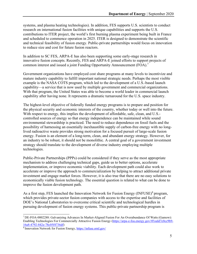systems, and plasma heating technologies). In addition, FES supports U.S. scientists to conduct research on international fusion facilities with unique capabilities and supports the U.S. contributions to ITER project, the world's first burning plasma experiment being built in France and scheduled to commence operation in 2025. ITER is designed to demonstrate the scientific and technical feasibility of fusion energy. Public-private partnerships would focus on innovation to reduce size and cost for future fusion reactors.

In addition to SC FES, ARPA-E has also been supporting some early-stage research in innovative fusion concepts. Recently, FES and ARPA-E joined efforts to support projects of common interest and issued a joint Funding Opportunity Announcement (FOA).<sup>7</sup>

Government organizations have employed cost share programs at many levels to incentivize and mature industry capability to fulfill important national strategic needs. Perhaps the most visible example is the NASA COTS program, which led to the development of a U.S.-based launch capability—a service that is now used by multiple government and commercial organizations. With that program, the United States was able to become a world leader in commercial launch capability after having none. It represents a dramatic turnaround for the U.S. space industry.

The highest-level objective of federally funded energy programs is to prepare and position for the physical security and economic interests of the country, whether today or well into the future. With respect to energy, this implies the development of affordable, safe, clean, and U.S. controlled sources of energy so that energy independence can be maintained while sound environmental stewardship is practiced. The need to reduce dependence on fossil fuels and the possibility of harnessing an essentially inexhaustible supply of carbon-free energy with no longlived radioactive waste provides strong motivation for a focused pursuit of large-scale fusion energy. Fusion is an element of a long-term, clean, and abundant energy strategy. However, for an industry to be robust, it should not be monolithic. A central goal of a government investment strategy should translate to the development of diverse industry employing multiple technologies.

Public-Private Partnerships (PPPs) could be considered if they serve as the most appropriate mechanism to address challenging technical gaps, guide us to better options, accelerate implementation, or improve economic viability. Each development path could also work to accelerate or improve the approach to commercialization by helping to attract additional private investment and engage market forces. However, it is also true that there are no easy solutions to economically viable fusion technology. The essential question is related to what can be done to improve the fusion development path.

As a first step, FES launched the Innovation Network for Fusion Energy (INFUSE)<sup>8</sup> program, which provides private-sector fusion companies with access to the expertise and facilities of DOE's National Laboratories to overcome critical scientific and technological hurdles in pursuing development of fusion energy systems. This public-private partnership program is

<sup>7</sup> DE-FOA-0002288: Galvanizing Advances In Market-Aligned Fusion For An Overabundance Of Watts (Gamow): Enabling Technologies For Commercially Attractive Fusion Energy (https://arpa-e-foa.energy.gov/#FoaId7c0cc9b9- 16a8-4792-842e-78c05f4736df)

<sup>8</sup> Innovation Network for Fusion Energy, https://infuse.ornl.gov/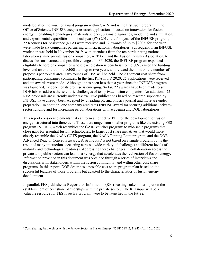modeled after the voucher award program within GAIN and is the first such program in the Office of Science. INFUSE accepts research applications focused on innovation for fusion energy in enabling technologies, materials science, plasma diagnostics, modeling and simulation, and experimental capabilities. In fiscal year (FY) 2019, the first year of the INFUSE program, 22 Requests for Assistance (RFA) were received and 12 awards of up to \$200K for one year were made to six companies partnering with six national laboratories. Subsequently, an INFUSE workshop was held in November 2019, with attendees from the ten participating national laboratories, nine private fusion companies, ARPA-E, and the Fusion Industry Association, to discuss lessons learned and possible changes. In FY 2020, the INFUSE program expanded eligibility to foreign companies whose participation is beneficial to the U.S., raised the funding level and award duration to \$500K and up to two years, and relaxed the limit on the number of proposals per topical area. Two rounds of RFA will be held. The 20 percent cost share from participating companies continues. In the first RFA in FY 2020, 25 applications were received and ten awards were made. Although it has been less than a year since the INFUSE program was launched, evidence of its promise is emerging. So far, 22 awards have been made to six DOE labs to address the scientific challenges of ten private fusion companies. An additional 25 RFA proposals are currently under review. Two publications based on research supported by INFUSE have already been accepted by a leading plasma physics journal and more are under preparation. In addition, one company credits its INFUSE award for securing additional privatesector funding and for increasing its collaborations with academia and DOE laboratories.

This report considers elements that can form an effective PPP for the development of fusion energy, structured into three tiers. These tiers range from smaller programs like the existing FES program INFUSE, which resembles the GAIN voucher program; to mid-scale programs that close gaps for essential fusion technologies; to larger cost share initiatives that would more closely resemble the NASA COTS program, the NASA Tipping Point program, and the DOE Advanced Reactor Concepts awards. A strong PPP is not based on a single program but is the result of many interactions occurring across a wide variety of challenges at different levels of maturity and technological readiness. Addressing these challenges in collaboration across the private and public sectors can lead to a synergy that accelerates the realization of fusion energy. Information provided in this document was obtained through a series of interviews and discussions with stakeholders within the fusion community, and within other cost share programs. In this report, DOE describes a possible cost share program plan based on the successful features of those programs but adapted to the characteristics of fusion energy development.

In parallel, FES published a Request for Information (RFI) seeking stakeholder input on the establishment of cost share partnerships with the private sector.<sup>9</sup> The RFI input will be a valuable resource for FES if such a program were to be launched in the future.

<sup>9</sup> Cost-Sharing Partnerships with the Private Sector in Fusion Energy, 85 FR 21842, 21842 (April 20, 2020)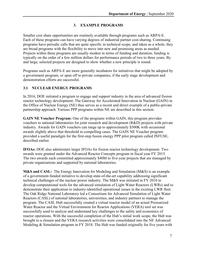#### **3. EXAMPLE PROGRAMS**

<span id="page-9-0"></span>Smaller cost share opportunities are routinely available through programs such as ARPA-E. Each of these programs can have varying degrees of industrial partner cost-sharing. Continuing programs have periodic calls that are quite specific in technical scope, and taken as a whole, they are broad programs with the flexibility to move into new and promising areas as needed. Projects within these programs are usually modest in terms of funding and duration; funding is typically on the order of a few million dollars for performance periods of two to three years. By and large, selected projects are designed to show whether a new principle is sound.

Programs such as ARPA-E are more generally incubators for initiatives that might be adopted by a government program, or spun off to private companies, if the early stage development and demonstration efforts are successful.

#### <span id="page-9-1"></span>**3.1 NUCLEAR ENERGY PROGRAMS**

In 2016, DOE initiated a program to engage and support industry in the area of advanced fission reactor technology development. The Gateway for Accelerated Innovation in Nuclear (GAIN) in the Office of Nuclear Energy (NE) thus serves as a recent and direct example of a public-private partnership approach. Various PPP programs within NE are described in this section.

**GAIN NE Voucher Program:** One of the programs within GAIN, this program provides vouchers to national laboratories for joint research and development (R&D) projects with private industry. Awards for GAIN vouchers can range up to approximately \$500K with occasional awards slightly above that threshold in compelling cases. The GAIN NE Voucher program provided a useful paradigm for the first-step fusion energy PPP pilot program called INFUSE, described earlier.

**IFOAs:** DOE also administers larger IFOAs for fission reactor technology development. Two awards were granted under the Advanced Reactor Concepts program in fiscal year FY 2015. The two awards each committed approximately \$40M to five-year projects that are managed by private organizations and supported by national laboratories.

**M&S and CASL:** The Energy Innovation for Modeling and Simulation (M&S) is an example of a government-funded initiative to develop state-of-the-art capability addressing significant technical challenges of the nuclear power industry. The M&S was initiated in FY 2010 to develop computational tools for the advanced simulation of Light Water Reactors (LWRs) and to demonstrate their application to industry-identified operational issues in the existing LWR fleet. The Oak Ridge National Laboratory led a Consortium for Advanced Simulation of Light Water Reactors (CASL) of national laboratories, universities, and industry partners to manage the program. The CASL Hub successfully created a virtual reactor model of an actual Pressurized Water Reactor and the Virtual Environment for Reactor Applications (VERA) tool set was successfully used to analyze and understand key challenges to the safety and economics of reactor operations. With the successful completion of the Hub's initial work scope, the Hub was brought to a closure and the VERA research activities were consolidated into the NE Advanced Modeling & Simulation program in FY 2018. The Hub was funded originally for five years with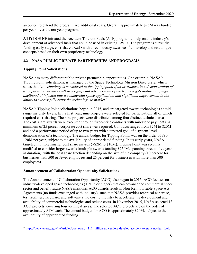an option to extend the program five additional years. Overall, approximately \$25M was funded, per year, over the ten-year program.

**ATF:** DOE NE initiated the Accident Tolerant Fuels (ATF) program to help enable industry's development of advanced fuels that could be used in existing LWRs. The program is currently funding early-stage, cost-shared R&D with three industry awardees<sup>10</sup> to develop and test unique concepts based on their own proprietary technology.

#### **3.2 NASA PUBLIC-PRIVATE PARTNERSHIPS ANDPROGRAMS**

#### **Tipping Point Solicitations**

NASA has many different public-private partnership opportunities. One example, NASA's Tipping Point solicitations, is managed by the Space Technology Mission Directorate, which states that "*A technology is considered at the tipping point if an investment in a demonstration of its capabilities would result in a significant advancement of the technology's maturation, high likelihood of infusion into a commercial space application, and significant improvement in the ability to successfully bring the technology to market.*"

NASA's Tipping Point solicitations began in 2015, and are targeted toward technologies at midrange maturity levels. In its first year, nine projects were selected for participation, all of which required cost-sharing. The nine projects were distributed among four distinct technical areas. The cost share awards were executed through fixed-price contracts with milestone payments. A minimum of 25 percent corporate cost share was required. Contracts ranged from \$2M to \$20M and had a performance period of up to two years with a targeted goal of a system-level demonstration of a technology. The annual budget for Tipping Points was on the order of \$80- 120M per year, subject to the availability of appropriated funding. In its early years, NASA targeted multiple smaller cost share awards (~\$2M to \$10M). Tipping Point was recently modified to consider larger awards (multiple awards totaling \$250M, spanning three to five years in duration), with the cost share fraction depending on the size of the company (10 percent for businesses with 500 or fewer employees and 25 percent for businesses with more than 500 employees).

#### **Announcement of Collaboration Opportunity Solicitations**

The Announcement of Collaboration Opportunity (ACO) also began in 2015. ACO focuses on industry-developed space technologies (TRL 3 or higher) that can advance the commercial space sector and benefit future NASA missions. ACO awards result in Non-Reimbursable Space Act Agreements (no funds exchanged with industry), such that NASA provides technical expertise, test facilities, hardware, and software at no cost to industry to accelerate the development and availability of commercial technologies and reduce costs. In November 2015, NASA selected 13 ACO projects, covering four technical areas. The selected ACO projects are on the order of approximately \$1M each. The annual budget for ACO is approximately \$20M, subject to the availability of appropriated funding.

<sup>1</sup>[0 https://www.energy.gov/ne/ar](http://www.energy.gov/ne/articles/doe-awards-111-million-us-vendors-develop-accident-tolerant-nuclear-fuels)ticles[/doe-awards-111-million-us-vendors-develop-accident-tolerant-nuclear-fuels](http://www.energy.gov/ne/articles/doe-awards-111-million-us-vendors-develop-accident-tolerant-nuclear-fuels)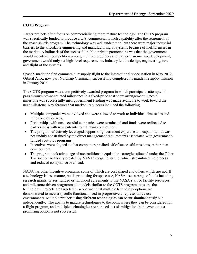#### **COTS Program**

Larger projects often focus on commercializing more mature technology. The COTS program was specifically funded to produce a U.S. commercial launch capability after the retirement of the space shuttle program. The technology was well understood, but there were major industrial barriers to the affordable engineering and manufacturing of systems because of inefficiencies in the market. A hallmark of the successful public-private partnerships was that the government would incentivize competition among multiple providers and, rather than manage development, government would only set high-level requirements. Industry led the design, engineering, test, and flight of the systems.

SpaceX made the first commercial resupply flight to the international space station in May 2012. Orbital ATK, now part Northrup Grumman, successfully completed its maiden resupply mission in January 2014.

The COTS program was a competitively awarded program in which participants attempted to pass through pre-negotiated milestones in a fixed-price cost share arrangement. Once a milestone was successfully met, government funding was made available to work toward the next milestone. Key features that marked its success included the following.

- Multiple companies were involved and were allowed to work to individual timescales and milestone objectives.
- Partnerships with unsuccessful companies were terminated and funds were redirected to partnerships with new entrants to maintain competition.
- The program effectively leveraged support of government expertise and capability but was not unduly constrained by the direct management requirements associated with governmentfunded cost-plus programs.
- Incentives were aligned so that companies profited off of successful missions, rather than development.
- The program took advantage of nontraditional acquisition strategies allowed under the Other Transaction Authority created by NASA's organic statute, which streamlined the process and reduced compliance overhead.

NASA has other incentive programs, some of which are cost shared and others which are not. If a technology is less mature, but is promising for space use, NASA uses a range of tools including research grants, prizes, funded or unfunded agreements to use NASA staff or facility resources, and milestone-driven programmatic models similar to the COTS program to assess the technology. Projects are targeted in scope such that multiple technology options are demonstrated to meet a specific functional need in progressively representative use environments. Multiple projects using different technologies can occur simultaneously but independently. The goal is to mature technologies to the point where they can be considered for a flight program, and multiple technologies are pursued as risk mitigation in the event that a promising option is not successful.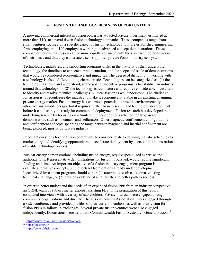#### **4. FUSION TECHNOLOGY BUSINESS OPPORTUNITIES**

<span id="page-12-0"></span>A growing commercial interest in fusion power has attracted private investment, estimated at more than \$1B, to several dozen fusion technology companies. These companies range from small ventures focused on a specific aspect of fusion technology to more established engineering firms employing up to 100 employees working on advanced concept demonstrations. These companies believe that fusion can be more rapidly advanced with the successful demonstration of their ideas, and that they can create a self-supported private fusion industry ecosystem.

Technologies, industries, and supporting programs differ in the maturity of their underlying technology, the timelines to expected implementation, and the scope and scale of demonstrations that would be considered representative and impactful. The degree of difficulty in working with a technology is also a differentiating characteristic. Technologies can be categorized as: (1) the technology is known and understood, so the goal of incentive programs is to establish an industry around that technology, or (2) the technology is less mature and requires considerable investment to identify and resolve technical challenges. Nuclear fission is well understood. The challenge for fission is to reconfigure the industry to make it economically viable in an existing, changing, private energy market. Fusion energy has enormous potential to provide environmentally attractive sustainable energy, but it requires further basic research and technology development before it can feasibly be ready for commercial deployment. Fusion research has developed the underlying science by focusing on a limited number of options selected for large-scale demonstration, such as tokamaks and stellarators. Other magnetic confinement configurations and confinement concepts spanning the range between magnetic and inertial confinement are being explored, mostly by private industry.

Important questions for the fusion community to consider relate to defining realistic schedules to market entry and identifying opportunities to accelerate deployment by successful demonstration of viable technology options.

Nuclear energy demonstrations, including fusion energy, require specialized expertise and authorizations. Representative demonstrations for fusion, if pursued, would require significant funding and time. An important objective of a fusion industry engagement program is to evaluate alternative concepts, but not detract from options already under development. Incentivized investment programs should either: (1) attempt to resolve a known, existing technical challenge, or (2) provide evidence of an alternate and better path to success.

In order to better understand the needs of an expanded fusion PPP from an industry perspective, an ORNL team of subject matter experts, assisting FES in the preparation of this report, conducted interviews with a variety of stakeholders. Private interests were engaged through community organizations and directly. The Fusion Industry Association<sup>11</sup> was engaged through a videoconference and provided profiles of their current members, as well as their vision for fusion PPPs in follow up exchanges. Several private fusion ventures were also engaged independently. Discussions were held with Commonwealth Fusion Systems,  $^{12}$  General Fusion,  $^{13}$ 

<sup>11</sup> htt[ps://www.fus](http://www.fusionindustryassociation.org/)io[nindustryassociation.org/](http://www.fusionindustryassociation.org/)

<sup>12</sup> https://cfs.energy/

<sup>13</sup> https://generalfusion.com/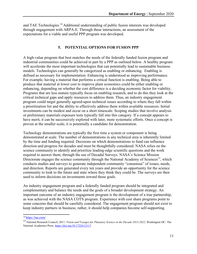and TAE Technologies.<sup>14</sup> Additional understanding of public fusion interests was developed through engagement with ARPA-E. Through these interactions, an assessment of the expectations for a viable and useful PPP program was developed.

#### **5. POTENTIAL OPTIONS FOR FUSION PPP**

A high-value program that best matches the needs of the federally funded fusion program and industrial communities could be achieved in part by a PPP as outlined below. A healthy program will accelerate the most important technologies that can potentially lead to sustainable business models. Technologies can generally be categorized as enabling or enhancing. Enabling is defined as necessary for implementation. Enhancing is understood as improving performance. For example, having a material that performs a critical function is enabling. Being able to produce that material at lower cost to improve plant economics could be either enabling or enhancing, depending on whether the cost difference is a deciding economic factor for viability. Programs that are less mature typically focus on enabling research, and to do this they look at the critical technical gaps and apply resources to address them. Thus, an industry engagement program could target generally agreed-upon technical issues according to where they fall within a prioritization list and the ability to effectively address them within available resources. Initial investments can be modest and occur on a short timescale. Scoping studies that involve analysis or preliminary materials exposure tests typically fall into this category. If a concept appears to have merit, it can be successively explored with later, more systematic efforts. Once a concept is proven at the smaller scale, it is potentially a candidate for demonstration.

Technology demonstrations are typically the first time a system or component is being demonstrated at scale. The number of demonstrations in any technical area is inherently limited by the time and funding required. Decisions on which demonstrations to fund can influence direction and progress for decades and must be thoughtfully considered. NASA relies on the science community to identify and prioritize leading-edge scientific questions and the work required to answer them, through the use of Decadal Surveys. NASA's Science Mission Directorate engages the science community through the National Academy of Sciences<sup>15</sup>, which conducts studies and surveys to generate independent community "consensus" of issues, needs, and direction. Reports are generated every ten years and provide an opportunity for the science community to look to the future and state where they think they could be. The surveys are then used to inform decisions on investments toward those goals.

An industry engagement program and a federally funded program should be integrated and complementary and balance the needs and the goals of a broader development strategy. An important outcome of an industry engagement program is the development of a true partnership, as was achieved with the NASA COTS program. Experience with cost share programs point to some concerns that should be carefully considered. The engagement program should not exist to keep industry partners in business; rather, it should help companies become self-supporting.

<sup>14</sup> https://tae.com/

<sup>15</sup> National Research Council, 2011. *Vision and Voyages for Planetary Science in the Decade 2013-2022,* Washington DC: The National Academies Press. https://doi.org/10.17226/12117.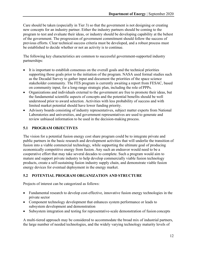Care should be taken (especially in Tier 3) so that the government is not designing or creating new concepts for an industry partner. Either the industry partners should be coming to the program to test and evaluate their ideas, or industry should be developing capability at the behest of the government. The progression of government commitment should follow the success of previous efforts. Clear technical success criteria must be developed, and a robust process must be established to decide whether or not an activity is to continue.

The following key characteristics are common to successful government-supported industry partnerships:

- It is important to establish consensus on the overall goals and the technical priorities supporting those goals prior to the initiation of the program. NASA used formal studies such as the Decadal Survey to gather input and document the priorities of the space science stakeholder community. The FES program is currently awaiting a report from FESAC, based on community input, for a long-range strategic plan, including the role of PPPs.
- Organizations and individuals external to the government are free to promote their ideas, but the fundamental scientific aspects of concepts and the potential benefits should be well understood prior to award selection. Activities with less probability of success and with limited market potential should have lower funding priority.
- Advisory boards consisting of industry representatives, subject matter experts from National Laboratories and universities, and government representatives are used to generate and review unbiased information to be used in the decision-making process.

#### <span id="page-14-0"></span>**5.1 PROGRAM OBJECTIVES**

The vision for a potential fusion energy cost share program could be to integrate private and public partners in the basic research and development activities that will underlie the transition of fusion into a viable commercial technology, while supporting the ultimate goal of producing economically competitive energy from fusion. Any such an endeavor would need to be a cooperative effort that may take several decades to complete. Such a program would aim to mature and support private industry to help develop commercially viable fusion technology products, create a self-sustaining fusion industry supply chain, and demonstrate viable fusion energy devices for eventual deployment in the energy market.

#### **5.2 POTENTIAL PROGRAM ORGANIZATION AND STRUCTURE**

Projects of interest can be categorized as follows:

- Fundamental research to develop cost-effective, innovative fusion energy technologies in the private sector
- Component technology development that enhances system performance or leads to subsystem development and demonstration
- Subsystem integration and testing for representative-scale demonstration of fusion concepts

A multi-tiered approach may be considered to accommodate the broad mix of industrial partners, the large number of needed technologies, and the widely varying technology maturity levels of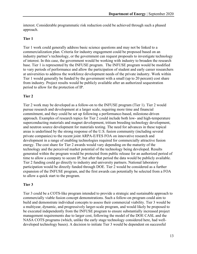interest. Considerable programmatic risk reduction could be achieved through such a phased approach.

#### **Tier 1**

Tier 1 work could generally address basic science questions and may not be linked to a commercialization plan. Criteria for industry engagement could be proposed based on an industry partner's technology, or the government can request proposals to investigate technology of interest. In this case, the government would be working with industry to broaden the research base. Tier 1 is represented by the INFUSE program. The INFUSE program would be modified to vary periods of performance and allow the participation of student and early career researchers at universities to address the workforce development needs of the private industry. Work within Tier 1 would generally be funded by the government with a small (up to 20 percent) cost share from industry. Project results would be publicly available after an authorized sequestration period to allow for the protection of IP.

#### **Tier 2**

Tier 2 work may be developed as a follow-on to the INFUSE program (Tier 1). Tier 2 would pursue research and development at a larger scale, requiring more time and financial commitment, and they could be set up following a performance-based, milestone-driven approach. Examples of research topics for Tier 2 could include both low- and high-temperature superconducting materials and magnet development, tritium breeding technology development, and neutron source development for materials testing. The need for advances in these topical areas is underlined by the strong response of the U.S. fusion community (including several private companies) to the recent joint ARPA-E/FES FOA on innovative research and development in a range of enabling technologies required for commercially attractive fusion energy. The cost share for Tier 2 awards would vary depending on the maturity of the technology and the perceived market potential of the technology being developed. Results generated within the program would be protected from public release for an authorized period of time to allow a company to secure IP, but after that period the data would be publicly available. Tier 2 funding could go directly to industry and university partners. National laboratory participation would be directly funded through DOE. Tier 2 would be considered as a further expansion of the INFUSE program, and the first awards can potentially be selected from a FOA to allow a quick start to the program.

#### **Tier 3**

Tier 3 could be a COTS-like program intended to provide a strategic and sustainable approach to commercially viable fusion concept demonstrations. Such a follow-on program could aim to build and demonstrate individual concepts to assess their commercial viability. Tier 3 would be a multiyear, dynamic, and progressively larger-scale program, and would likely be proposed to be executed independently from the INFUSE program to ensure substantially increased project management requirements due to larger cost, following the model of the DOE CASL and the NASA COTS programs (which, unlike the early stage technology considered here, had welldeveloped technology bases). A decision to initiate Tier 3 would be dependent on successful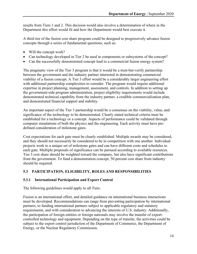results from Tiers 1 and 2. This decision would also involve a determination of where in the Department this effort would fit and how the Department would best execute it.

A third tier of the fusion cost share program could be designed to progressively advance fusion concepts through a series of fundamental questions, such as:

- Will the concept work?
- Can technology developed in Tier 2 be used in components or subsystems of the concept?
- Can the successfully demonstrated concept lead to a commercial fusion energy system?

The pragmatic view of the Tier 3 program is that it would be a trust-but-verify partnership between the government and the industry partner interested in demonstrating commercial viability of a fusion concept. A Tier 3 effort would be a considerably larger engineering effort with additional partnership complexities to consider. The program would require additional expertise in project planning, management, assessment, and controls. In addition to setting up the government-side program administration, project eligibility requirements would include demonstrated technical capability from the industry partner, a credible commercialization plan, and demonstrated financial support and stability.

An important aspect of the Tier 3 partnership would be a consensus on the viability, value, and significance of the technology to be demonstrated. Clearly stated technical criteria must be established for a technology or a concept. Aspects of performance could be validated through computer simulations of both the physics and the engineering. Each activity must have predefined consideration of milestone gates.

Cost expectations for each gate must be clearly established. Multiple awards may be considered, and they should not necessarily be considered to be in competition with one another. Individual projects work to a unique set of milestone gates and can have different costs and schedules to each gate. Multiple proposals of significance can be pursued according to available resources. Tier 3 cost share should be weighted toward the company, but also have significant contributions from the government. To fund a demonstration concept, 50 percent cost share from industry should be required.

#### <span id="page-16-0"></span>**5.3 PARTICIPATION, ELIGIBILITY, ROLES AND RESPONSIBILITIES**

#### <span id="page-16-1"></span>**5.3.1 International Participation and Export Control**

The following guidelines would apply to all Tiers.

Fusion is an international effort, and detailed guidance on international business interactions must be developed. Recommendations can range from preventing participation by international partners, to funding international partners subject to applicable regulatory and statutory requirements, and with consideration to advancing the interests of U.S. industry. Additionally, the participation of foreign entities or foreign nationals may involve the transfer of exportcontrolled technology and equipment. Depending on the type of transfer, the activities could be subject to the export control jurisdiction of the Department of Commerce, the Department of Energy, or the Nuclear Regulatory Commission.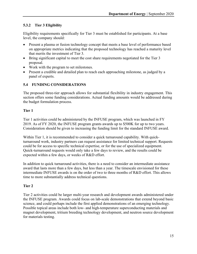#### <span id="page-17-0"></span>**5.3.2 Tier 3 Eligibility**

Eligibility requirements specifically for Tier 3 must be established for participants. At a base level, the company should:

- Present a plasma or fusion technology concept that meets a base level of performance based on appropriate metrics indicating that the proposed technology has reached a maturity level that merits the investment of Tier 3.
- Bring significant capital to meet the cost share requirements negotiated for the Tier 3 proposal.
- Work with the program to set milestones.
- Present a credible and detailed plan to reach each approaching milestone, as judged by a panel of experts.

#### **5.4 FUNDING CONSIDERATIONS**

The proposed three-tier approach allows for substantial flexibility in industry engagement. This section offers some funding considerations. Actual funding amounts would be addressed during the budget formulation process.

#### **Tier 1**

Tier 1 activities could be administered by the INFUSE program, which was launched in FY 2019. As of FY 2020, the INFUSE program grants awards up to \$500K for up to two years. Consideration should be given to increasing the funding limit for the standard INFUSE award.

Within Tier 1, it is recommended to consider a quick turnaround capability. With quickturnaround work, industry partners can request assistance for limited technical support. Requests could be for access to specific technical expertise, or for the use of specialized equipment. Quick-turnaround requests would only take a few days to review, and the results could be expected within a few days, or weeks of R&D effort.

In addition to quick turnaround activities, there is a need to consider an intermediate assistance award that lasts more than a few days, but less than a year. The timescale envisioned for these intermediate INFUSE awards is on the order of two to three months of R&D effort. This allows time to more substantially address technical questions.

#### **Tier 2**

Tier 2 activities could be larger multi-year research and development awards administered under the INFUSE program. Awards could focus on lab-scale demonstrations that extend beyond basic science, and could perhaps include the first applied demonstrations of an emerging technology. Possible topical areas include both low- and high-temperature superconducting materials and magnet development, tritium breeding technology development, and neutron source development for materials testing.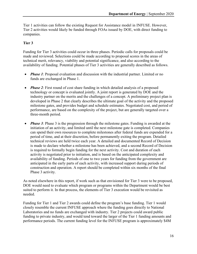Tier 1 activities can follow the existing Request for Assistance model in INFUSE. However, Tier 2 activities would likely be funded through FOAs issued by DOE, with direct funding to companies.

#### **Tier 3**

Funding for Tier 3 activities could occur in three phases. Periodic calls for proposals could be made and reviewed. Selections could be made according to proposal scores in the areas of technical merit, relevancy, viability and potential significance, and also according to the availability of funding. Potential phases of Tier 3 activities are generally described as follows.

- *Phase 1*: Proposal evaluation and discussion with the industrial partner. Limited or no funds are exchanged in Phase 1.
- *Phase 2*: First round of cost share funding in which detailed analysis of a proposed technology or concept is evaluated jointly. A joint report is generated by DOE and the industry partner on the merits and the challenges of a concept. A preliminary project plan is developed in Phase 2 that clearly describes the ultimate goal of the activity and the proposed milestone gates, and provides budget and schedule estimates. Negotiated cost, and period of performance, are based on the complexity of the project, but are generally targeted over a three-month period.
- *Phase 3*: Phase 3 is the progression through the milestone gates. Funding is awarded at the initiation of an activity, and limited until the next milestone gate is completed. Companies can spend their own resources to complete milestones after federal funds are expended for a period of time, and at their discretion, before permanently exiting the program. Detailed technical reviews are held twice each year. A detailed and documented Record of Decision is made to declare whether a milestone has been achieved, and a second Record of Decision is required to formally begin funding for the next activity. Cost and duration of each activity is negotiated prior to initiation, and is based on the anticipated complexity and availability of funding. Periods of one to two years for funding from the government are anticipated in the early parts of each activity, with increased support during periods of construction and operation. A report should be completed within six months of the final Phase 3 activity.

As noted elsewhere in this report, if work such as that envisioned for Tier 3 were to be proposed, DOE would need to evaluate which program or programs within the Department would be best suited to perform it. In that process, the elements of Tier 3 execution would be revisited as needed.

Funding for Tier 1 and Tier 2 awards could define the program's base funding. Tier 1 would closely resemble the current INFUSE approach where the funding goes directly to National Laboratories and no funds are exchanged with industry. Tier 2 projects could award public funding to private industry, and would tend toward the larger of the Tier 1 funding amounts and performance periods. The current funding level for the INFUSE program is approximately \$4M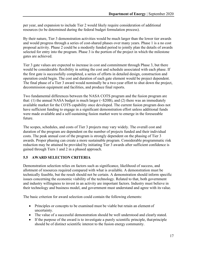per year, and expansion to include Tier 2 would likely require consideration of additional resources (to be determined during the federal budget formulation process).

By their nature, Tier 3 demonstration activities would be much larger than the lower tier awards and would progress through a series of cost-shared phases over many years. Phase 1 is a no cost proposal activity. Phase 2 could be a modestly funded period to jointly plan the details of awards selected for entry into the program. Phase 3 is the portion of the project in which the milestone gates are achieved.

Tier 3 gate values are expected to increase in cost and commitment through Phase 3, but there would be considerable flexibility in setting the cost and schedule associated with each phase. If the first gate is successfully completed, a series of efforts in detailed design, construction and operation could begin. The cost and duration of each gate element would be project dependent. The final phase of a Tier 3 award would nominally be a two-year effort to shut down the project, decommission equipment and facilities, and produce final reports.

Two fundamental differences between the NASA COTS program and the fusion program are that: (1) the annual NASA budget is much larger  $(\sim$ \$20B), and (2) there was an immediately available market for the COTS capability once developed. The current fusion program does not have sufficient funding to engage in a significant demonstration effort unless additional funds were made available and a self-sustaining fusion market were to emerge in the foreseeable future.

The scopes, schedules, and costs of Tier 3 projects may vary widely. The overall cost and duration of the program are dependent on the number of projects funded and their individual costs. The peak annual cost of the program is strongly dependent on the phasing of Tier 3 awards. Proper phasing can create a more sustainable program. Considerable programmatic risk reduction may be attained be provided by initiating Tier 3 awards after sufficient confidence is gained through Tiers 1 and 2 in a phased approach.

#### <span id="page-19-0"></span>**5.5 AWARD SELECTION CRITERIA**

Demonstration selection relies on factors such as significance, likelihood of success, and allotment of resources required compared with what is available. A demonstration must be technically feasible, but the result should not be certain. A demonstration should inform specific issues concerning the economic viability of the technology. Related to that, both government and industry willingness to invest in an activity are important factors. Industry must believe in their technology and business model, and government must understand and agree with its value.

The basic criterion for award selection could contain the following elements:

- Principles or concepts to be examined must be viable but retain an element of uncertainty.
- The value of a successful demonstration should be well understood and clearly stated.
- If the purpose of the award is to investigate a purely scientific principle, thatprinciple should be of distinct scientific interest to the fusion energy community.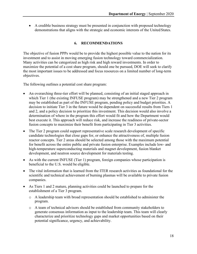• A credible business strategy must be presented in conjunction with proposed technology demonstrations that aligns with the strategic and economic interests of the United States.

#### **6. RECOMMENDATIONS**

<span id="page-20-0"></span>The objective of fusion PPPs would be to provide the highest possible value to the nation for its investment and to assist in moving emerging fusion technology toward commercialization. Many activities can be categorized as high risk and high reward investments. In order to maximize the potential of a cost share program, should one be pursued, DOE will seek to clarify the most important issues to be addressed and focus resources on a limited number of long-term objectives.

The following outlines a potential cost share program:

- An overarching three-tier effort will be planned, consisting of an initial staged approach in which Tier 1 (the existing INFUSE program) may be strengthened and a new Tier 2 program may be established as part of the INFUSE program, pending policy and budget priorities. A decision to initiate Tier 3 in the future would be dependent on successful results from Tiers 1 and 2, and a policy decision to prioritize this investment. This decision would also involve a determination of where in the program this effort would fit and how the Department would best execute it. This approach will reduce risk, and increase the readiness of private-sector fusion concepts to maximize their benefit from participating in Tier 3 activities.
- The Tier 2 program could support representative scale research development of specific candidate technologies that close gaps for, or enhance the attractiveness of, multiple fusion reactor concepts. Tier 2 areas should be selected among those with the maximum potential for benefit across the entire public and private fusion enterprise. Examples include low- and high-temperature superconducting materials and magnet development, fusion blanket development, and neutron source development for materials testing.
- As with the current INFUSE (Tier 1) program, foreign companies whose participation is beneficial to the U.S. would be eligible.
- The vital information that is learned from the ITER research activities as foundational for the scientific and technical achievement of burning plasmas will be available to private fusion companies.
- As Tiers 1 and 2 mature, planning activities could be launched to prepare for the establishment of a Tier 3 program.
	- o A leadership team with broad representation should be established to administer the program.
	- o A team of technical advisors should be established from community stakeholders to generate consensus information as input to the leadership team. This team will clearly characterize and prioritize technology gaps and market opportunities based on their potential significance, urgency, and achievability.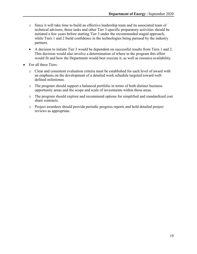- o Since it will take time to build an effective leadership team and its associated team of technical advisors, these tasks and other Tier 3-specific preparatory activities should be initiated a few years before starting Tier 3 under the recommended staged approach, while Tiers 1 and 2 build confidence in the technologies being pursued by the industry partners.
- A decision to initiate Tier 3 would be dependent on successful results from Tiers 1 and 2. This decision would also involve a determination of where in the program this effort would fit and how the Department would best execute it, as well as resource availability.
- For all three Tiers:
	- o Clear and consistent evaluation criteria must be established for each level of award with an emphasis on the development of a detailed work schedule targeted toward welldefined milestones.
	- o The program should support a balanced portfolio in terms of both distinct business opportunity areas and the scope and scale of investments within those areas.
	- o The program should explore and recommend options for simplified and standardized cost share contracts.
	- o Project awardees should provide periodic progress reports and hold detailed project reviews as appropriate.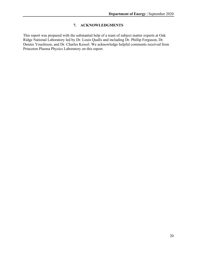#### **7. ACKNOWLEDGMENTS**

This report was prepared with the substantial help of a team of subject matter experts at Oak Ridge National Laboratory led by Dr. Louis Qualls and including Dr. Phillip Ferguson, Dr. Dennis Youchison, and Dr. Charles Kessel. We acknowledge helpful comments received from Princeton Plasma Physics Laboratory on this report.